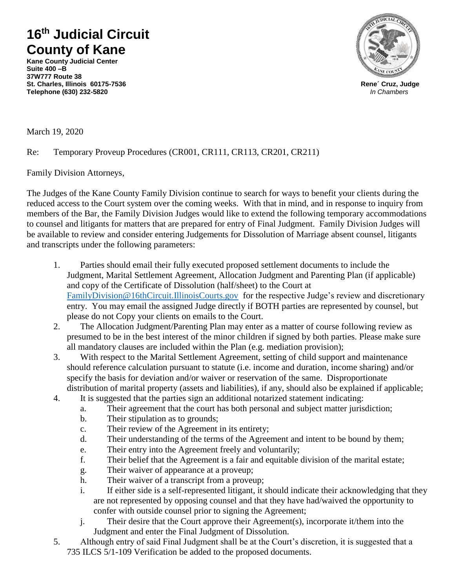## **16th Judicial Circuit County of Kane**

**Kane County Judicial Center Suite 400 –B 37W777 Route 38 St. Charles, Illinois 60175-7536 Rene´ Cruz, Judge Telephone (630) 232-5820** *In Chambers*



March 19, 2020

## Re: Temporary Proveup Procedures (CR001, CR111, CR113, CR201, CR211)

Family Division Attorneys,

The Judges of the Kane County Family Division continue to search for ways to benefit your clients during the reduced access to the Court system over the coming weeks. With that in mind, and in response to inquiry from members of the Bar, the Family Division Judges would like to extend the following temporary accommodations to counsel and litigants for matters that are prepared for entry of Final Judgment. Family Division Judges will be available to review and consider entering Judgements for Dissolution of Marriage absent counsel, litigants and transcripts under the following parameters:

- 1. Parties should email their fully executed proposed settlement documents to include the Judgment, Marital Settlement Agreement, Allocation Judgment and Parenting Plan (if applicable) and copy of the Certificate of Dissolution (half/sheet) to the Court at [FamilyDivision@16thCircuit.IllinoisCourts.gov](mailto:FamilyDivision@16thCircuit.IllinoisCourts.gov) for the respective Judge's review and discretionary entry. You may email the assigned Judge directly if BOTH parties are represented by counsel, but please do not Copy your clients on emails to the Court.
- 2. The Allocation Judgment/Parenting Plan may enter as a matter of course following review as presumed to be in the best interest of the minor children if signed by both parties. Please make sure all mandatory clauses are included within the Plan (e.g. mediation provision);
- 3. With respect to the Marital Settlement Agreement, setting of child support and maintenance should reference calculation pursuant to statute (i.e. income and duration, income sharing) and/or specify the basis for deviation and/or waiver or reservation of the same. Disproportionate distribution of marital property (assets and liabilities), if any, should also be explained if applicable;
- 4. It is suggested that the parties sign an additional notarized statement indicating:
	- a. Their agreement that the court has both personal and subject matter jurisdiction;
	- b. Their stipulation as to grounds;
	- c. Their review of the Agreement in its entirety;
	- d. Their understanding of the terms of the Agreement and intent to be bound by them;
	- e. Their entry into the Agreement freely and voluntarily;
	- f. Their belief that the Agreement is a fair and equitable division of the marital estate;
	- g. Their waiver of appearance at a proveup;
	- h. Their waiver of a transcript from a proveup;
	- i. If either side is a self-represented litigant, it should indicate their acknowledging that they are not represented by opposing counsel and that they have had/waived the opportunity to confer with outside counsel prior to signing the Agreement;
	- j. Their desire that the Court approve their Agreement(s), incorporate it/them into the Judgment and enter the Final Judgment of Dissolution.
- 5. Although entry of said Final Judgment shall be at the Court's discretion, it is suggested that a 735 ILCS 5/1-109 Verification be added to the proposed documents.